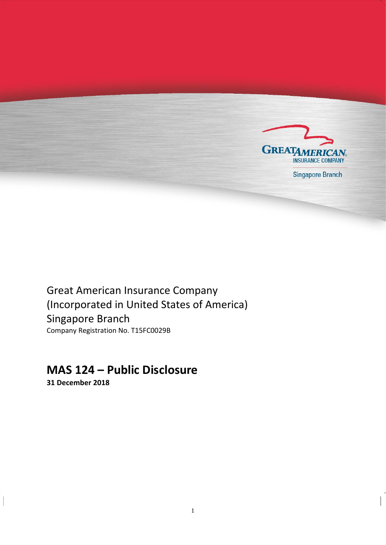

**Singapore Branch** 

Great American Insurance Company (Incorporated in United States of America) Singapore Branch Company Registration No. T15FC0029B

## **MAS 124 – Public Disclosure**

**31 December 2018**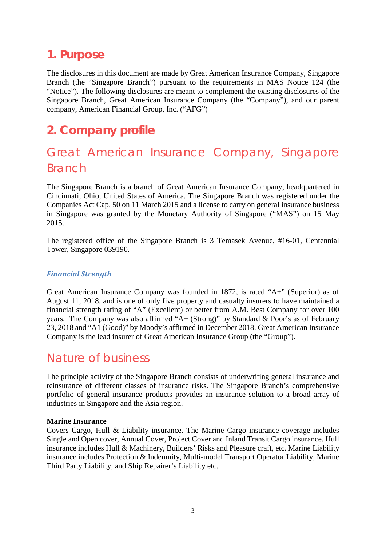### <span id="page-2-0"></span>**1. Purpose**

The disclosures in this document are made by Great American Insurance Company, Singapore Branch (the "Singapore Branch") pursuant to the requirements in MAS Notice 124 (the "Notice"). The following disclosures are meant to complement the existing disclosures of the Singapore Branch, Great American Insurance Company (the "Company"), and our parent company, American Financial Group, Inc. ("AFG")

## <span id="page-2-1"></span>**2. Company profile**

## <span id="page-2-2"></span>Great American Insurance Company, Singapore Branch

The Singapore Branch is a branch of Great American Insurance Company, headquartered in Cincinnati, Ohio, United States of America. The Singapore Branch was registered under the Companies Act Cap. 50 on 11 March 2015 and a license to carry on general insurance business in Singapore was granted by the Monetary Authority of Singapore ("MAS") on 15 May 2015.

The registered office of the Singapore Branch is 3 Temasek Avenue, #16-01, Centennial Tower, Singapore 039190.

#### *Financial Strength*

Great American Insurance Company was founded in 1872, is rated "A+" (Superior) as of August 11, 2018, and is one of only five property and casualty insurers to have maintained a financial strength rating of "A" (Excellent) or better from A.M. Best Company for over 100 years. The Company was also affirmed "A+ (Strong)" by Standard & Poor's as of February 23, 2018 and "A1 (Good)" by Moody's affirmed in December 2018. Great American Insurance Company is the lead insurer of Great American Insurance Group (the "Group").

### <span id="page-2-3"></span>Nature of business

The principle activity of the Singapore Branch consists of underwriting general insurance and reinsurance of different classes of insurance risks. The Singapore Branch's comprehensive portfolio of general insurance products provides an insurance solution to a broad array of industries in Singapore and the Asia region.

#### **Marine Insurance**

Covers Cargo, Hull & Liability insurance. The Marine Cargo insurance coverage includes Single and Open cover, Annual Cover, Project Cover and Inland Transit Cargo insurance. Hull insurance includes Hull & Machinery, Builders' Risks and Pleasure craft, etc. Marine Liability insurance includes Protection & Indemnity, Multi-model Transport Operator Liability, Marine Third Party Liability, and Ship Repairer's Liability etc.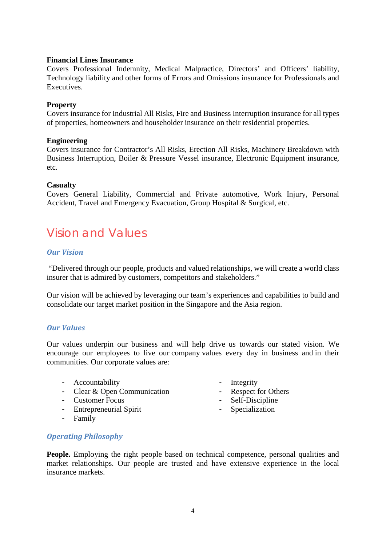#### **Financial Lines Insurance**

Covers Professional Indemnity, Medical Malpractice, Directors' and Officers' liability, Technology liability and other forms of Errors and Omissions insurance for Professionals and Executives.

#### **Property**

Covers insurance for Industrial All Risks, Fire and Business Interruption insurance for all types of properties, homeowners and householder insurance on their residential properties.

#### **Engineering**

Covers insurance for Contractor's All Risks, Erection All Risks, Machinery Breakdown with Business Interruption, Boiler & Pressure Vessel insurance, Electronic Equipment insurance, etc.

#### **Casualty**

Covers General Liability, Commercial and Private automotive, Work Injury, Personal Accident, Travel and Emergency Evacuation, Group Hospital & Surgical, etc.

## <span id="page-3-0"></span>Vision and Values

#### *Our Vision*

"Delivered through our people, products and valued relationships, we will create a world class insurer that is admired by customers, competitors and stakeholders."

Our vision will be achieved by leveraging our team's experiences and capabilities to build and consolidate our target market position in the Singapore and the Asia region.

#### *Our Values*

Our values underpin our business and will help drive us towards our stated vision. We encourage our employees to live our company values every day in business and in their communities. Our corporate values are:

- Accountability
- Clear & Open Communication
- Customer Focus
- Entrepreneurial Spirit
- Family
- Integrity
- Respect for Others
- Self-Discipline
- Specialization

#### *Operating Philosophy*

**People.** Employing the right people based on technical competence, personal qualities and market relationships. Our people are trusted and have extensive experience in the local insurance markets.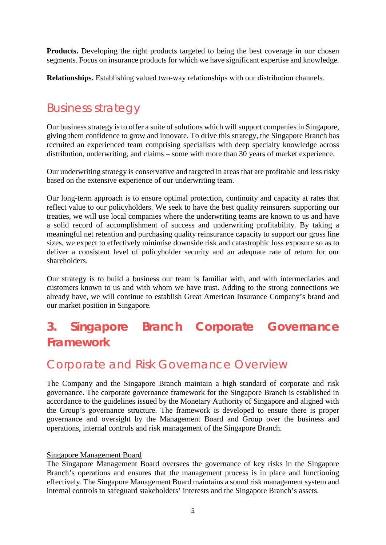**Products.** Developing the right products targeted to being the best coverage in our chosen segments. Focus on insurance products for which we have significant expertise and knowledge.

**Relationships.** Establishing valued two-way relationships with our distribution channels.

### <span id="page-4-0"></span>Business strategy

Our business strategy is to offer a suite of solutions which will support companies in Singapore, giving them confidence to grow and innovate. To drive this strategy, the Singapore Branch has recruited an experienced team comprising specialists with deep specialty knowledge across distribution, underwriting, and claims – some with more than 30 years of market experience.

Our underwriting strategy is conservative and targeted in areas that are profitable and less risky based on the extensive experience of our underwriting team.

Our long-term approach is to ensure optimal protection, continuity and capacity at rates that reflect value to our policyholders. We seek to have the best quality reinsurers supporting our treaties, we will use local companies where the underwriting teams are known to us and have a solid record of accomplishment of success and underwriting profitability. By taking a meaningful net retention and purchasing quality reinsurance capacity to support our gross line sizes, we expect to effectively minimise downside risk and catastrophic loss exposure so as to deliver a consistent level of policyholder security and an adequate rate of return for our shareholders.

Our strategy is to build a business our team is familiar with, and with intermediaries and customers known to us and with whom we have trust. Adding to the strong connections we already have, we will continue to establish Great American Insurance Company's brand and our market position in Singapore.

# <span id="page-4-1"></span>**3. Singapore Branch Corporate Governance Framework**

### <span id="page-4-2"></span>Corporate and Risk Governance Overview

The Company and the Singapore Branch maintain a high standard of corporate and risk governance. The corporate governance framework for the Singapore Branch is established in accordance to the guidelines issued by the Monetary Authority of Singapore and aligned with the Group's governance structure. The framework is developed to ensure there is proper governance and oversight by the Management Board and Group over the business and operations, internal controls and risk management of the Singapore Branch.

#### Singapore Management Board

The Singapore Management Board oversees the governance of key risks in the Singapore Branch's operations and ensures that the management process is in place and functioning effectively. The Singapore Management Board maintains a sound risk management system and internal controls to safeguard stakeholders' interests and the Singapore Branch's assets.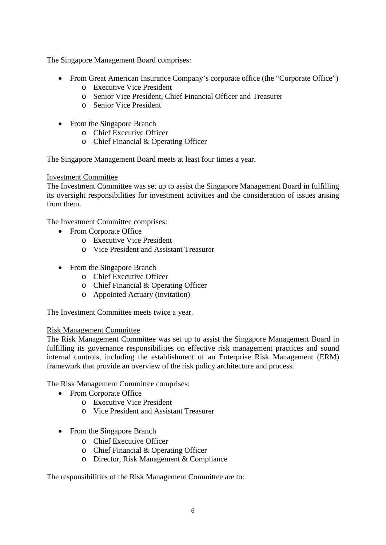The Singapore Management Board comprises:

- From Great American Insurance Company's corporate office (the "Corporate Office")
	- o Executive Vice President
	- o Senior Vice President, Chief Financial Officer and Treasurer
	- o Senior Vice President
- From the Singapore Branch
	- o Chief Executive Officer
	- o Chief Financial & Operating Officer

The Singapore Management Board meets at least four times a year.

#### Investment Committee

The Investment Committee was set up to assist the Singapore Management Board in fulfilling its oversight responsibilities for investment activities and the consideration of issues arising from them.

The Investment Committee comprises:

- From Corporate Office
	- o Executive Vice President
	- o Vice President and Assistant Treasurer
- From the Singapore Branch
	- o Chief Executive Officer
	- o Chief Financial & Operating Officer
	- o Appointed Actuary (invitation)

The Investment Committee meets twice a year.

#### Risk Management Committee

The Risk Management Committee was set up to assist the Singapore Management Board in fulfilling its governance responsibilities on effective risk management practices and sound internal controls, including the establishment of an Enterprise Risk Management (ERM) framework that provide an overview of the risk policy architecture and process.

The Risk Management Committee comprises:

- From Corporate Office
	- o Executive Vice President
	- o Vice President and Assistant Treasurer
- From the Singapore Branch
	- o Chief Executive Officer
	- o Chief Financial & Operating Officer
	- o Director, Risk Management & Compliance

The responsibilities of the Risk Management Committee are to: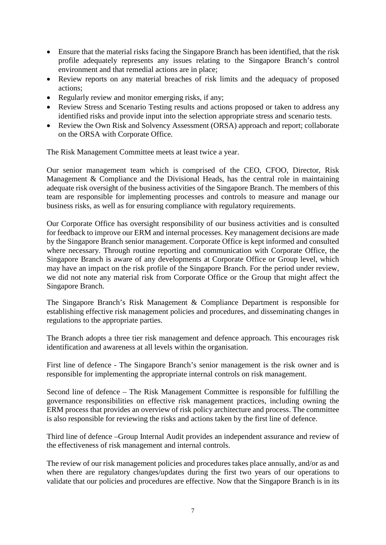- Ensure that the material risks facing the Singapore Branch has been identified, that the risk profile adequately represents any issues relating to the Singapore Branch's control environment and that remedial actions are in place;
- Review reports on any material breaches of risk limits and the adequacy of proposed actions;
- Regularly review and monitor emerging risks, if any;
- Review Stress and Scenario Testing results and actions proposed or taken to address any identified risks and provide input into the selection appropriate stress and scenario tests.
- Review the Own Risk and Solvency Assessment (ORSA) approach and report; collaborate on the ORSA with Corporate Office.

The Risk Management Committee meets at least twice a year.

Our senior management team which is comprised of the CEO, CFOO, Director, Risk Management & Compliance and the Divisional Heads, has the central role in maintaining adequate risk oversight of the business activities of the Singapore Branch. The members of this team are responsible for implementing processes and controls to measure and manage our business risks, as well as for ensuring compliance with regulatory requirements.

Our Corporate Office has oversight responsibility of our business activities and is consulted for feedback to improve our ERM and internal processes. Key management decisions are made by the Singapore Branch senior management. Corporate Office is kept informed and consulted where necessary. Through routine reporting and communication with Corporate Office, the Singapore Branch is aware of any developments at Corporate Office or Group level, which may have an impact on the risk profile of the Singapore Branch. For the period under review, we did not note any material risk from Corporate Office or the Group that might affect the Singapore Branch.

The Singapore Branch's Risk Management & Compliance Department is responsible for establishing effective risk management policies and procedures, and disseminating changes in regulations to the appropriate parties.

The Branch adopts a three tier risk management and defence approach. This encourages risk identification and awareness at all levels within the organisation.

First line of defence - The Singapore Branch's senior management is the risk owner and is responsible for implementing the appropriate internal controls on risk management.

Second line of defence – The Risk Management Committee is responsible for fulfilling the governance responsibilities on effective risk management practices, including owning the ERM process that provides an overview of risk policy architecture and process. The committee is also responsible for reviewing the risks and actions taken by the first line of defence.

Third line of defence –Group Internal Audit provides an independent assurance and review of the effectiveness of risk management and internal controls.

The review of our risk management policies and procedures takes place annually, and/or as and when there are regulatory changes/updates during the first two years of our operations to validate that our policies and procedures are effective. Now that the Singapore Branch is in its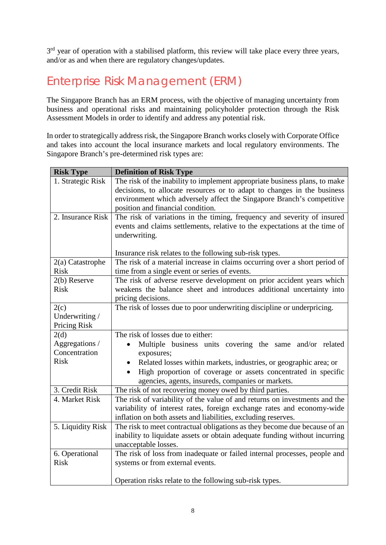3<sup>rd</sup> year of operation with a stabilised platform, this review will take place every three years, and/or as and when there are regulatory changes/updates.

### <span id="page-7-0"></span>Enterprise Risk Management (ERM)

The Singapore Branch has an ERM process, with the objective of managing uncertainty from business and operational risks and maintaining policyholder protection through the Risk Assessment Models in order to identify and address any potential risk.

In order to strategically address risk, the Singapore Branch works closely with Corporate Office and takes into account the local insurance markets and local regulatory environments. The Singapore Branch's pre-determined risk types are:

| <b>Risk Type</b>  | <b>Definition of Risk Type</b>                                                 |
|-------------------|--------------------------------------------------------------------------------|
| 1. Strategic Risk | The risk of the inability to implement appropriate business plans, to make     |
|                   | decisions, to allocate resources or to adapt to changes in the business        |
|                   | environment which adversely affect the Singapore Branch's competitive          |
|                   | position and financial condition.                                              |
| 2. Insurance Risk | The risk of variations in the timing, frequency and severity of insured        |
|                   | events and claims settlements, relative to the expectations at the time of     |
|                   | underwriting.                                                                  |
|                   | Insurance risk relates to the following sub-risk types.                        |
| 2(a) Catastrophe  | The risk of a material increase in claims occurring over a short period of     |
| <b>Risk</b>       | time from a single event or series of events.                                  |
| 2(b) Reserve      | The risk of adverse reserve development on prior accident years which          |
| <b>Risk</b>       | weakens the balance sheet and introduces additional uncertainty into           |
|                   | pricing decisions.                                                             |
| 2(c)              | The risk of losses due to poor underwriting discipline or underpricing.        |
| Underwriting /    |                                                                                |
| Pricing Risk      |                                                                                |
| 2(d)              | The risk of losses due to either:                                              |
| Aggregations /    | Multiple business units covering the same and/or related<br>$\bullet$          |
| Concentration     | exposures;                                                                     |
| <b>Risk</b>       | Related losses within markets, industries, or geographic area; or<br>$\bullet$ |
|                   | High proportion of coverage or assets concentrated in specific                 |
|                   | agencies, agents, insureds, companies or markets.                              |
| 3. Credit Risk    | The risk of not recovering money owed by third parties.                        |
| 4. Market Risk    | The risk of variability of the value of and returns on investments and the     |
|                   | variability of interest rates, foreign exchange rates and economy-wide         |
|                   | inflation on both assets and liabilities, excluding reserves.                  |
| 5. Liquidity Risk | The risk to meet contractual obligations as they become due because of an      |
|                   | inability to liquidate assets or obtain adequate funding without incurring     |
|                   | unacceptable losses.                                                           |
| 6. Operational    | The risk of loss from inadequate or failed internal processes, people and      |
| <b>Risk</b>       | systems or from external events.                                               |
|                   |                                                                                |
|                   | Operation risks relate to the following sub-risk types.                        |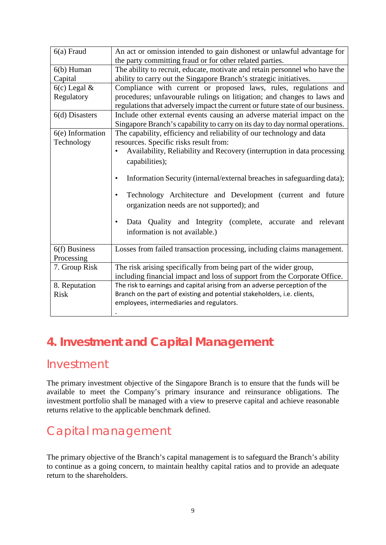| $6(a)$ Fraud                 | An act or omission intended to gain dishonest or unlawful advantage for<br>the party committing fraud or for other related parties.                       |
|------------------------------|-----------------------------------------------------------------------------------------------------------------------------------------------------------|
| $6(b)$ Human                 | The ability to recruit, educate, motivate and retain personnel who have the                                                                               |
| Capital                      | ability to carry out the Singapore Branch's strategic initiatives.                                                                                        |
| $6(c)$ Legal &               | Compliance with current or proposed laws, rules, regulations and                                                                                          |
| Regulatory                   | procedures; unfavourable rulings on litigation; and changes to laws and<br>regulations that adversely impact the current or future state of our business. |
| $6(d)$ Disasters             | Include other external events causing an adverse material impact on the<br>Singapore Branch's capability to carry on its day to day normal operations.    |
| 6(e) Information             | The capability, efficiency and reliability of our technology and data                                                                                     |
| Technology                   | resources. Specific risks result from:                                                                                                                    |
|                              | Availability, Reliability and Recovery (interruption in data processing                                                                                   |
|                              | capabilities);                                                                                                                                            |
|                              |                                                                                                                                                           |
|                              | Information Security (internal/external breaches in safeguarding data);<br>$\bullet$                                                                      |
|                              | Technology Architecture and Development (current and future<br>$\bullet$<br>organization needs are not supported); and                                    |
|                              | Data Quality and Integrity (complete, accurate and relevant<br>$\bullet$<br>information is not available.)                                                |
|                              |                                                                                                                                                           |
| $6(f)$ Business              | Losses from failed transaction processing, including claims management.                                                                                   |
| Processing                   |                                                                                                                                                           |
| 7. Group Risk                | The risk arising specifically from being part of the wider group,                                                                                         |
|                              | including financial impact and loss of support from the Corporate Office.<br>The risk to earnings and capital arising from an adverse perception of the   |
| 8. Reputation<br><b>Risk</b> | Branch on the part of existing and potential stakeholders, i.e. clients,                                                                                  |
|                              | employees, intermediaries and regulators.                                                                                                                 |
|                              |                                                                                                                                                           |

## <span id="page-8-0"></span>**4. Investment and Capital Management**

### <span id="page-8-1"></span>Investment

The primary investment objective of the Singapore Branch is to ensure that the funds will be available to meet the Company's primary insurance and reinsurance obligations. The investment portfolio shall be managed with a view to preserve capital and achieve reasonable returns relative to the applicable benchmark defined.

# <span id="page-8-2"></span>Capital management

The primary objective of the Branch's capital management is to safeguard the Branch's ability to continue as a going concern, to maintain healthy capital ratios and to provide an adequate return to the shareholders.